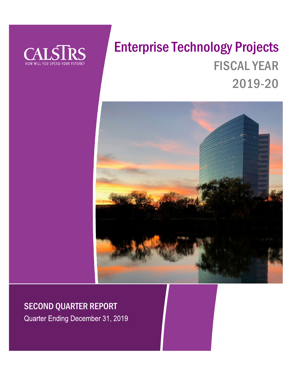

# Enterprise Technology Projects FISCAL YEAR 2019-20



# SECOND QUARTER REPORT

Quarter Ending December 31, 2019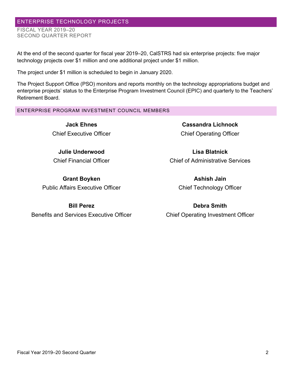## ENTERPRISE TECHNOLOGY PROJECTS

FISCAL YEAR 2019–20 SECOND QUARTER REPORT

At the end of the second quarter for fiscal year 2019–20, CalSTRS had six enterprise projects: five major technology projects over \$1 million and one additional project under \$1 million.

The project under \$1 million is scheduled to begin in January 2020.

The Project Support Office (PSO) monitors and reports monthly on the technology appropriations budget and enterprise projects' status to the Enterprise Program Investment Council (EPIC) and quarterly to the Teachers' Retirement Board.

#### ENTERPRISE PROGRAM INVESTMENT COUNCIL MEMBERS

**Jack Ehnes** Chief Executive Officer

**Julie Underwood** Chief Financial Officer

**Grant Boyken** Public Affairs Executive Officer

# **Cassandra Lichnock** Chief Operating Officer

**Lisa Blatnick** Chief of Administrative Services

> **Ashish Jain** Chief Technology Officer

**Bill Perez**

Benefits and Services Executive Officer

**Debra Smith** Chief Operating Investment Officer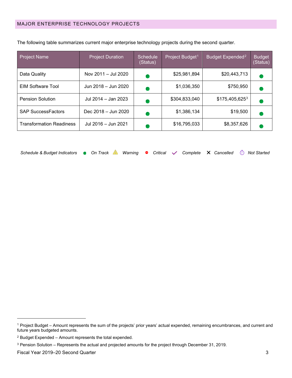| <b>Project Name</b>             | <b>Project Duration</b> | <b>Schedule</b><br>(Status) | Project Budget <sup>1</sup> | Budget Expended <sup>2</sup> | <b>Budget</b><br>(Status) |
|---------------------------------|-------------------------|-----------------------------|-----------------------------|------------------------------|---------------------------|
| Data Quality                    | Nov 2011 - Jul 2020     |                             | \$25,981,894                | \$20,443,713                 |                           |
| <b>EIM Software Tool</b>        | Jun 2018 - Jun 2020     |                             | \$1,036,350                 | \$750,950                    |                           |
| <b>Pension Solution</b>         | Jul 2014 - Jan 2023     |                             | \$304,833,040               | \$175,405,6253               |                           |
| <b>SAP SuccessFactors</b>       | Dec 2018 - Jun 2020     |                             | \$1,386,134                 | \$19,500                     |                           |
| <b>Transformation Readiness</b> | Jul 2016 - Jun 2021     |                             | \$16,795,033                | \$8,357,626                  |                           |

The following table summarizes current major enterprise technology projects during the second quarter.

| Schedule & Budget Indicators • On Track Warning • Critical v Complete X Cancelled in Not Started |  |  |  |  |  |  |  |  |  |  |  |  |
|--------------------------------------------------------------------------------------------------|--|--|--|--|--|--|--|--|--|--|--|--|
|--------------------------------------------------------------------------------------------------|--|--|--|--|--|--|--|--|--|--|--|--|

<span id="page-2-0"></span><sup>1</sup> Project Budget – Amount represents the sum of the projects' prior years' actual expended, remaining encumbrances, and current and future years budgeted amounts.

<span id="page-2-1"></span><sup>2</sup> Budget Expended – Amount represents the total expended.

<span id="page-2-2"></span><sup>3</sup> Pension Solution – Represents the actual and projected amounts for the project through December 31, 2019.

Fiscal Year 2019–20 Second Quarter 3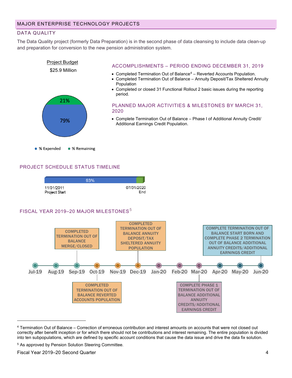#### DATA QUALITY

The Data Quality project (formerly Data Preparation) is in the second phase of data cleansing to include data clean-up and preparation for conversion to the new pension administration system.



#### PROJECT SCHEDULE STATUS TIMELINE



#### FISCAL YEAR 2019-20 MAJOR MILESTONES<sup>[5](#page-3-1)</sup>



<span id="page-3-0"></span><sup>4</sup> Termination Out of Balance – Correction of erroneous contribution and interest amounts on accounts that were not closed out correctly after benefit inception or for which there should not be contributions and interest remaining. The entire population is divided into ten subpopulations, which are defined by specific account conditions that cause the data issue and drive the data fix solution.

<span id="page-3-1"></span><sup>5</sup> As approved by Pension Solution Steering Committee.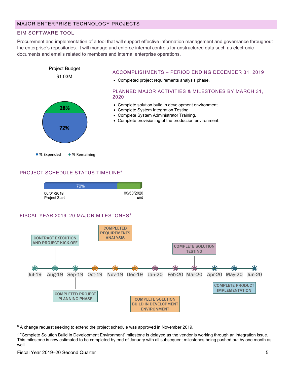#### EIM SOFTWARE TOOL

Procurement and implementation of a tool that will support effective information management and governance throughout the enterprise's repositories. It will manage and enforce internal controls for unstructured data such as electronic documents and emails related to members and internal enterprise operations.



#### PROJECT SCHEDULE STATUS TIMELINE[6](#page-4-0)



<span id="page-4-0"></span> $6$  A change request seeking to extend the project schedule was approved in November 2019.

<span id="page-4-1"></span><sup>7</sup> "Complete Solution Build in Development Environment" milestone is delayed as the vendor is working through an integration issue. This milestone is now estimated to be completed by end of January with all subsequent milestones being pushed out by one month as well.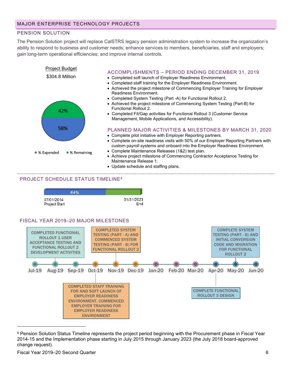#### PENSION SOLUTION

The Pension Solution project will replace CalSTRS legacy pension administration system to increase the organization's ability to respond to business and customer needs; enhance services to members, beneficiaries, staff and employers; gain long-term operational efficiencies; and improve internal controls.



• Update schedule and staffing plans.

#### PROJECT SCHEDULE STATUS TIMELINE[8](#page-5-0)



<span id="page-5-0"></span><sup>&</sup>lt;sup>8</sup> Pension Solution Status Timeline represents the project period beginning with the Procurement phase in Fiscal Year 2014-15 and the Implementation phase starting in July 2015 through January 2023 (the July 2018 board-approved change request).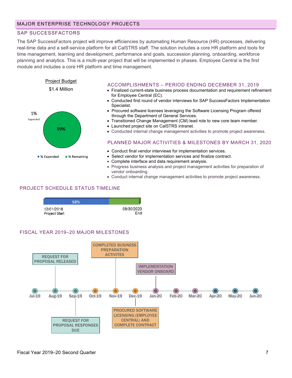#### SAP SUCCESSFACTORS

The SAP SuccessFactors project will improve efficiencies by automating Human Resource (HR) processes, delivering real-time data and a self-service platform for all CalSTRS staff. The solution includes a core HR platform and tools for time management, learning and development, performance and goals, succession planning, onboarding, workforce planning and analytics. This is a multi-year project that will be implemented in phases. Employee Central is the first module and includes a core HR platform and time management.



• Conduct internal change management activities to promote project awareness.

#### PROJECT SCHEDULE STATUS TIMELINE

| 68%           |            |
|---------------|------------|
| 12/01/2018    | 06/30/2020 |
| Project Start | End        |

#### FISCAL YEAR 2019–20 MAJOR MILESTONES

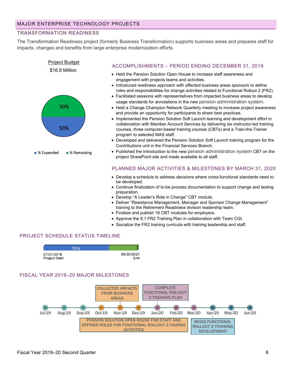#### TRANSFORMATION READINESS

The Transformation Readiness project (formerly Business Transformation) supports business areas and prepares staff for impacts, changes and benefits from large enterprise modernization efforts.



- Approve the 8.1 FR2 Training Plan in collaboration with Team CGI.
- Socialize the FR2 training curricula with training leadership and staff.

### PROJECT SCHEDULE STATUS TIMELINE



#### FISCAL YEAR 2019–20 MAJOR MILESTONES